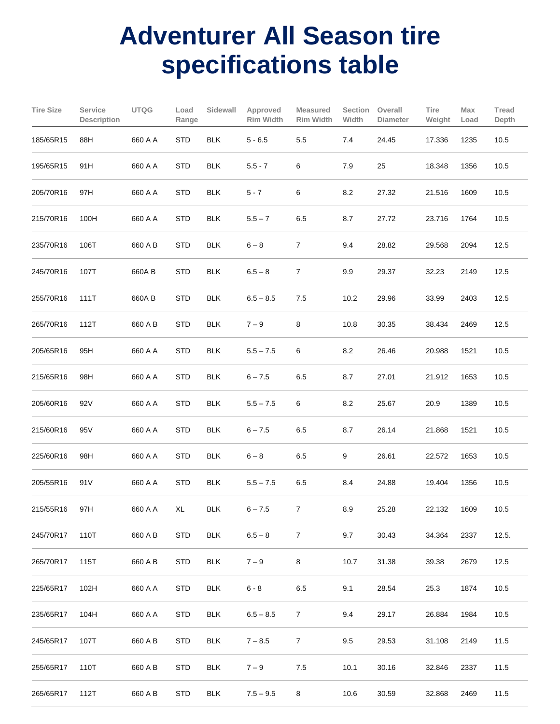## **Adventurer All Season tire specifications table**

| <b>Tire Size</b> | Service<br><b>Description</b> | <b>UTQG</b> | Load<br>Range | Sidewall   | Approved<br><b>Rim Width</b> | <b>Measured</b><br><b>Rim Width</b> | Section<br>Width | Overall<br><b>Diameter</b> | Tire<br>Weight | Max<br>Load | Tread<br>Depth |
|------------------|-------------------------------|-------------|---------------|------------|------------------------------|-------------------------------------|------------------|----------------------------|----------------|-------------|----------------|
| 185/65R15        | 88H                           | 660 A A     | <b>STD</b>    | <b>BLK</b> | $5 - 6.5$                    | 5.5                                 | 7.4              | 24.45                      | 17.336         | 1235        | 10.5           |
| 195/65R15        | 91H                           | 660 A A     | <b>STD</b>    | <b>BLK</b> | $5.5 - 7$                    | 6                                   | 7.9              | 25                         | 18.348         | 1356        | 10.5           |
| 205/70R16        | 97H                           | 660 A A     | <b>STD</b>    | <b>BLK</b> | $5 - 7$                      | 6                                   | 8.2              | 27.32                      | 21.516         | 1609        | 10.5           |
| 215/70R16        | 100H                          | 660 A A     | <b>STD</b>    | <b>BLK</b> | $5.5 - 7$                    | 6.5                                 | 8.7              | 27.72                      | 23.716         | 1764        | 10.5           |
| 235/70R16        | 106T                          | 660 A B     | <b>STD</b>    | <b>BLK</b> | $6 - 8$                      | $\overline{7}$                      | 9.4              | 28.82                      | 29.568         | 2094        | 12.5           |
| 245/70R16        | 107T                          | 660A B      | <b>STD</b>    | <b>BLK</b> | $6.5 - 8$                    | $\overline{7}$                      | 9.9              | 29.37                      | 32.23          | 2149        | 12.5           |
| 255/70R16        | 111T                          | 660A B      | <b>STD</b>    | <b>BLK</b> | $6.5 - 8.5$                  | 7.5                                 | 10.2             | 29.96                      | 33.99          | 2403        | 12.5           |
| 265/70R16        | 112T                          | 660 A B     | <b>STD</b>    | <b>BLK</b> | $7 - 9$                      | 8                                   | 10.8             | 30.35                      | 38.434         | 2469        | 12.5           |
| 205/65R16        | 95H                           | 660 A A     | <b>STD</b>    | <b>BLK</b> | $5.5 - 7.5$                  | 6                                   | 8.2              | 26.46                      | 20.988         | 1521        | 10.5           |
| 215/65R16        | 98H                           | 660 A A     | <b>STD</b>    | <b>BLK</b> | $6 - 7.5$                    | 6.5                                 | 8.7              | 27.01                      | 21.912         | 1653        | 10.5           |
| 205/60R16        | 92V                           | 660 A A     | <b>STD</b>    | <b>BLK</b> | $5.5 - 7.5$                  | 6                                   | $8.2\,$          | 25.67                      | 20.9           | 1389        | 10.5           |
| 215/60R16        | 95V                           | 660 A A     | <b>STD</b>    | <b>BLK</b> | $6 - 7.5$                    | 6.5                                 | 8.7              | 26.14                      | 21.868         | 1521        | 10.5           |
| 225/60R16        | 98H                           | 660 A A     | <b>STD</b>    | <b>BLK</b> | $6 - 8$                      | 6.5                                 | 9                | 26.61                      | 22.572         | 1653        | 10.5           |
| 205/55R16        | 91 V                          | 660 A A     | <b>STD</b>    | <b>BLK</b> | $5.5 - 7.5$                  | 6.5                                 | 8.4              | 24.88                      | 19.404         | 1356        | 10.5           |
| 215/55R16        | 97H                           | 660 A A     | XL            | <b>BLK</b> | $6 - 7.5$                    | 7                                   | 8.9              | 25.28                      | 22.132         | 1609        | 10.5           |
| 245/70R17        | 110T                          | 660 A B     | <b>STD</b>    | <b>BLK</b> | $6.5 - 8$                    | $\overline{7}$                      | 9.7              | 30.43                      | 34.364         | 2337        | 12.5.          |
| 265/70R17        | 115T                          | 660 A B     | <b>STD</b>    | <b>BLK</b> | $7 - 9$                      | 8                                   | 10.7             | 31.38                      | 39.38          | 2679        | 12.5           |
| 225/65R17        | 102H                          | 660 A A     | <b>STD</b>    | <b>BLK</b> | $6 - 8$                      | 6.5                                 | 9.1              | 28.54                      | 25.3           | 1874        | 10.5           |
| 235/65R17        | 104H                          | 660 A A     | <b>STD</b>    | <b>BLK</b> | $6.5 - 8.5$                  | $\mathbf{7}$                        | 9.4              | 29.17                      | 26.884         | 1984        | 10.5           |
| 245/65R17        | 107T                          | 660 A B     | <b>STD</b>    | <b>BLK</b> | $7 - 8.5$                    | $\mathbf{7}$                        | 9.5              | 29.53                      | 31.108         | 2149        | 11.5           |
| 255/65R17        | 110T                          | 660 A B     | <b>STD</b>    | <b>BLK</b> | $7 - 9$                      | 7.5                                 | 10.1             | 30.16                      | 32.846         | 2337        | 11.5           |
| 265/65R17        | 112T                          | 660 A B     | <b>STD</b>    | <b>BLK</b> | $7.5 - 9.5$                  | 8                                   | 10.6             | 30.59                      | 32.868         | 2469        | 11.5           |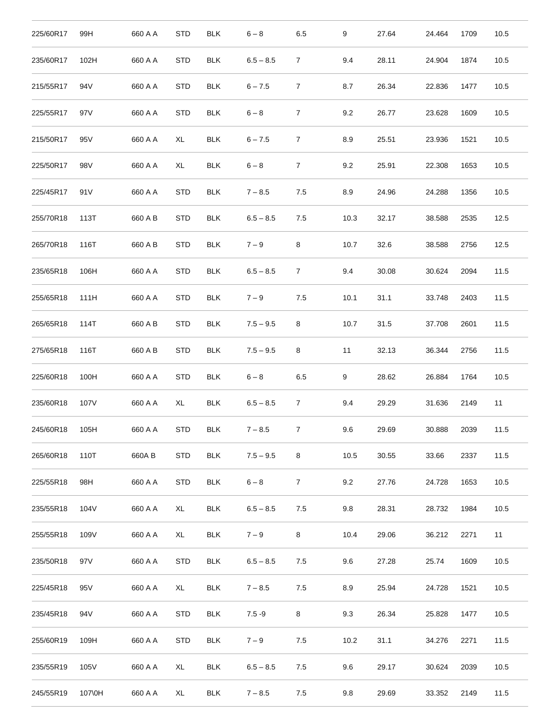| 225/60R17 | 99H  | 660 A A | <b>STD</b> | <b>BLK</b> | $6 - 8$     | 6.5             | 9    | 27.64 | 24.464 | 1709 | 10.5 |
|-----------|------|---------|------------|------------|-------------|-----------------|------|-------|--------|------|------|
| 235/60R17 | 102H | 660 A A | <b>STD</b> | <b>BLK</b> | $6.5 - 8.5$ | $\overline{7}$  | 9.4  | 28.11 | 24.904 | 1874 | 10.5 |
| 215/55R17 | 94V  | 660 A A | <b>STD</b> | <b>BLK</b> | $6 - 7.5$   | $\overline{7}$  | 8.7  | 26.34 | 22.836 | 1477 | 10.5 |
| 225/55R17 | 97 V | 660 A A | <b>STD</b> | <b>BLK</b> | $6 - 8$     | $\overline{7}$  | 9.2  | 26.77 | 23.628 | 1609 | 10.5 |
| 215/50R17 | 95 V | 660 A A | XL         | <b>BLK</b> | $6 - 7.5$   | $\overline{7}$  | 8.9  | 25.51 | 23.936 | 1521 | 10.5 |
| 225/50R17 | 98V  | 660 A A | XL         | <b>BLK</b> | $6 - 8$     | $\overline{7}$  | 9.2  | 25.91 | 22.308 | 1653 | 10.5 |
| 225/45R17 | 91 V | 660 A A | <b>STD</b> | <b>BLK</b> | $7 - 8.5$   | 7.5             | 8.9  | 24.96 | 24.288 | 1356 | 10.5 |
| 255/70R18 | 113T | 660 A B | <b>STD</b> | <b>BLK</b> | $6.5 - 8.5$ | 7.5             | 10.3 | 32.17 | 38.588 | 2535 | 12.5 |
| 265/70R18 | 116T | 660 A B | <b>STD</b> | <b>BLK</b> | $7 - 9$     | 8               | 10.7 | 32.6  | 38.588 | 2756 | 12.5 |
| 235/65R18 | 106H | 660 A A | <b>STD</b> | <b>BLK</b> | $6.5 - 8.5$ | $\overline{7}$  | 9.4  | 30.08 | 30.624 | 2094 | 11.5 |
| 255/65R18 | 111H | 660 A A | <b>STD</b> | <b>BLK</b> | $7 - 9$     | 7.5             | 10.1 | 31.1  | 33.748 | 2403 | 11.5 |
| 265/65R18 | 114T | 660 A B | <b>STD</b> | <b>BLK</b> | $7.5 - 9.5$ | 8               | 10.7 | 31.5  | 37.708 | 2601 | 11.5 |
| 275/65R18 | 116T | 660 A B | <b>STD</b> | <b>BLK</b> | $7.5 - 9.5$ | 8               | 11   | 32.13 | 36.344 | 2756 | 11.5 |
| 225/60R18 | 100H | 660 A A | <b>STD</b> | <b>BLK</b> | $6 - 8$     | 6.5             | 9    | 28.62 | 26.884 | 1764 | 10.5 |
| 235/60R18 | 107V | 660 A A | XL         | <b>BLK</b> | $6.5 - 8.5$ | $\overline{7}$  | 9.4  | 29.29 | 31.636 | 2149 | 11   |
| 245/60R18 | 105H | 660 A A | <b>STD</b> | <b>BLK</b> | $7 - 8.5$   | 7               | 9.6  | 29.69 | 30.888 | 2039 | 11.5 |
| 265/60R18 | 110T | 660A B  | <b>STD</b> | <b>BLK</b> | $7.5 - 9.5$ | 8               | 10.5 | 30.55 | 33.66  | 2337 | 11.5 |
| 225/55R18 | 98H  | 660 A A | <b>STD</b> | <b>BLK</b> | $6 - 8$     | $7\overline{ }$ | 9.2  | 27.76 | 24.728 | 1653 | 10.5 |
| 235/55R18 | 104V | 660 A A | XL         | <b>BLK</b> | $6.5 - 8.5$ | 7.5             | 9.8  | 28.31 | 28.732 | 1984 | 10.5 |
| 255/55R18 | 109V | 660 A A | XL         | <b>BLK</b> | $7 - 9$     | 8               | 10.4 | 29.06 | 36.212 | 2271 | 11   |
| 235/50R18 | 97V  | 660 A A | <b>STD</b> | <b>BLK</b> | $6.5 - 8.5$ | 7.5             | 9.6  | 27.28 | 25.74  | 1609 | 10.5 |
| 225/45R18 | 95 V | 660 A A | XL         | <b>BLK</b> | $7 - 8.5$   | 7.5             | 8.9  | 25.94 | 24.728 | 1521 | 10.5 |
| 235/45R18 | 94 V | 660 A A | <b>STD</b> | <b>BLK</b> | $7.5 - 9$   | 8               | 9.3  | 26.34 | 25.828 | 1477 | 10.5 |
|           |      |         |            |            |             |                 |      |       |        |      |      |
| 255/60R19 | 109H | 660 A A | <b>STD</b> | <b>BLK</b> | $7 - 9$     | 7.5             | 10.2 | 31.1  | 34.276 | 2271 | 11.5 |
| 235/55R19 | 105V | 660 A A | XL         | <b>BLK</b> | $6.5 - 8.5$ | 7.5             | 9.6  | 29.17 | 30.624 | 2039 | 10.5 |